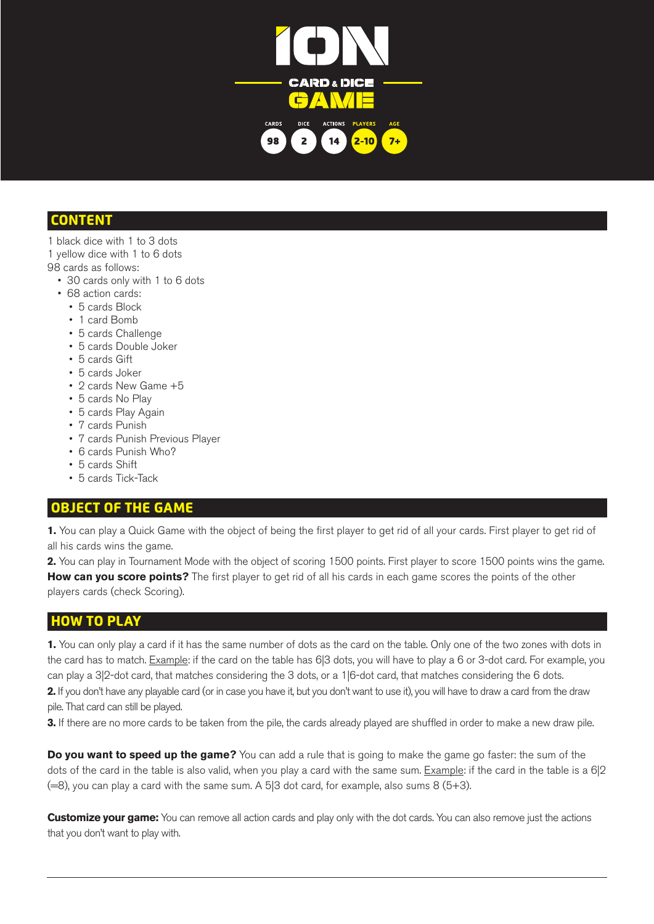

### CONTENT

- 1 black dice with 1 to 3 dots
- 1 yellow dice with 1 to 6 dots
- 98 cards as follows:
	- 30 cards only with 1 to 6 dots
	- 68 action cards:
		- 5 cards Block
		- 1 card Bomb
		- • 5 cards Challenge
		- • 5 cards Double Joker
		- 5 cards Gift
		- 5 cards Joker
		- 2 cards New Game +5
		- 5 cards No Play
		- • 5 cards Play Again
		- 7 cards Punish
		- 7 cards Punish Previous Player
		- 6 cards Punish Who?
		- 5 cards Shift
		- • 5 cards Tick-Tack

# OBJECT OF THE GAME

**1.** You can play a Quick Game with the object of being the first player to get rid of all your cards. First player to get rid of all his cards wins the game.

**2.** You can play in Tournament Mode with the object of scoring 1500 points. First player to score 1500 points wins the game. **How can you score points?** The first player to get rid of all his cards in each game scores the points of the other players cards (check Scoring).

# HOW TO PLAY

**1.** You can only play a card if it has the same number of dots as the card on the table. Only one of the two zones with dots in the card has to match. Example: if the card on the table has 6|3 dots, you will have to play a 6 or 3-dot card. For example, you can play a 3|2-dot card, that matches considering the 3 dots, or a 1|6-dot card, that matches considering the 6 dots. **2.** If you don't have any playable card (or in case you have it, but you don't want to use it), you will have to draw a card from the draw

pile. That card can still be played.

**3.** If there are no more cards to be taken from the pile, the cards already played are shuffled in order to make a new draw pile.

**Do you want to speed up the game?** You can add a rule that is going to make the game go faster: the sum of the dots of the card in the table is also valid, when you play a card with the same sum. Example: if the card in the table is a 6|2  $(=8)$ , you can play a card with the same sum. A 5|3 dot card, for example, also sums 8 (5+3).

**Customize your game:** You can remove all action cards and play only with the dot cards. You can also remove just the actions that you don't want to play with.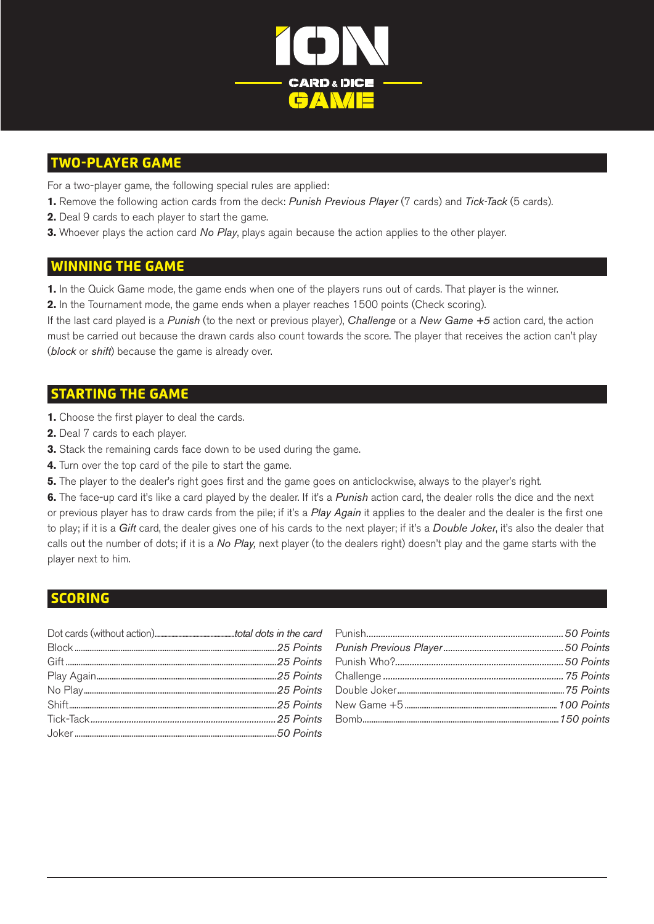

### TWO-PLAYER GAME

For a two-player game, the following special rules are applied:

- **1.** Remove the following action cards from the deck: *Punish Previous Player* (7 cards) and *Tick-Tack* (5 cards).
- **2.** Deal 9 cards to each player to start the game.
- **3.** Whoever plays the action card *No Play*, plays again because the action applies to the other player.

### WINNING THE GAME

**1.** In the Quick Game mode, the game ends when one of the players runs out of cards. That player is the winner.

**2.** In the Tournament mode, the game ends when a player reaches 1500 points (Check scoring).

If the last card played is a *Punish* (to the next or previous player), *Challenge* or a *New Game +5* action card, the action must be carried out because the drawn cards also count towards the score. The player that receives the action can't play (*block* or *shift*) because the game is already over.

### STARTING THE GAME

- **1.** Choose the first player to deal the cards.
- **2.** Deal 7 cards to each player.
- **3.** Stack the remaining cards face down to be used during the game.
- **4.** Turn over the top card of the pile to start the game.
- **5.** The player to the dealer's right goes first and the game goes on anticlockwise, always to the player's right.

**6.** The face-up card it's like a card played by the dealer. If it's a *Punish* action card, the dealer rolls the dice and the next or previous player has to draw cards from the pile; if it's a *Play Again* it applies to the dealer and the dealer is the first one to play; if it is a *Gift* card, the dealer gives one of his cards to the next player; if it's a *Double Joker*, it's also the dealer that calls out the number of dots; if it is a *No Play,* next player (to the dealers right) doesn't play and the game starts with the player next to him.

#### SCORING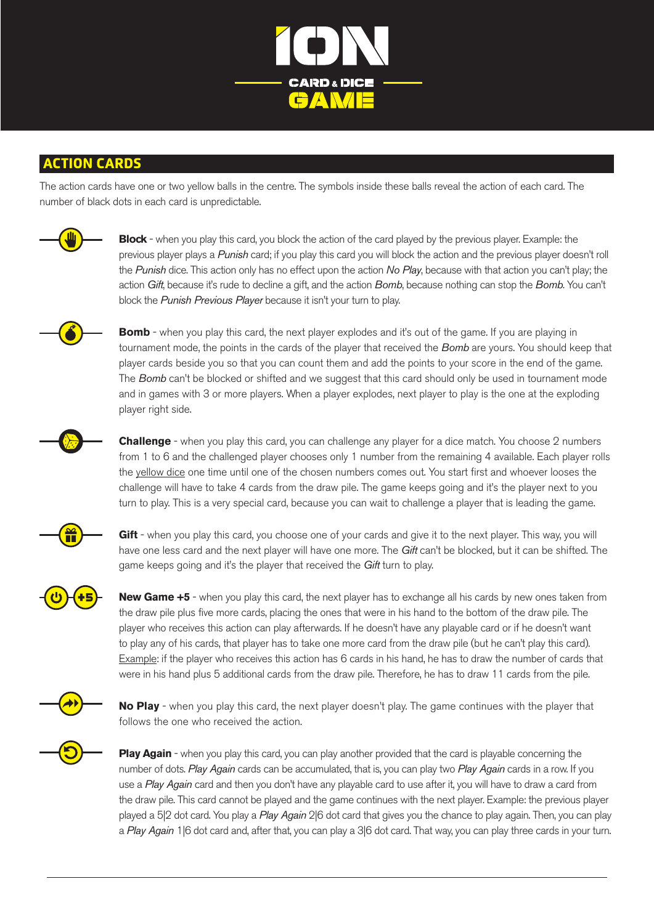

### ACTION CARDS

The action cards have one or two yellow balls in the centre. The symbols inside these balls reveal the action of each card. The number of black dots in each card is unpredictable.



**Block** - when you play this card, you block the action of the card played by the previous player. Example: the previous player plays a *Punish* card; if you play this card you will block the action and the previous player doesn't roll the *Punish* dice. This action only has no effect upon the action *No Play*, because with that action you can't play; the action *Gift*, because it's rude to decline a gift, and the action *Bomb*, because nothing can stop the *Bomb*. You can't block the *Punish Previous Player* because it isn't your turn to play.

**Bomb** - when you play this card, the next player explodes and it's out of the game. If you are playing in tournament mode, the points in the cards of the player that received the *Bomb* are yours. You should keep that player cards beside you so that you can count them and add the points to your score in the end of the game. The *Bomb* can't be blocked or shifted and we suggest that this card should only be used in tournament mode and in games with 3 or more players. When a player explodes, next player to play is the one at the exploding player right side.



**Challenge** - when you play this card, you can challenge any player for a dice match. You choose 2 numbers from 1 to 6 and the challenged player chooses only 1 number from the remaining 4 available. Each player rolls the yellow dice one time until one of the chosen numbers comes out. You start first and whoever looses the challenge will have to take 4 cards from the draw pile. The game keeps going and it's the player next to you turn to play. This is a very special card, because you can wait to challenge a player that is leading the game.



Gift - when you play this card, you choose one of your cards and give it to the next player. This way, you will have one less card and the next player will have one more. The *Gift* can't be blocked, but it can be shifted. The game keeps going and it's the player that received the *Gift* turn to play.

**New Game +5** - when you play this card, the next player has to exchange all his cards by new ones taken from the draw pile plus five more cards, placing the ones that were in his hand to the bottom of the draw pile. The player who receives this action can play afterwards. If he doesn't have any playable card or if he doesn't want to play any of his cards, that player has to take one more card from the draw pile (but he can't play this card). Example: if the player who receives this action has 6 cards in his hand, he has to draw the number of cards that were in his hand plus 5 additional cards from the draw pile. Therefore, he has to draw 11 cards from the pile.



**No Play** - when you play this card, the next player doesn't play. The game continues with the player that follows the one who received the action.

**Play Again** - when you play this card, you can play another provided that the card is playable concerning the number of dots. *Play Again* cards can be accumulated, that is, you can play two *Play Again* cards in a row. If you use a *Play Again* card and then you don't have any playable card to use after it, you will have to draw a card from the draw pile. This card cannot be played and the game continues with the next player. Example: the previous player played a 5|2 dot card. You play a *Play Again* 2|6 dot card that gives you the chance to play again. Then, you can play a *Play Again* 1|6 dot card and, after that, you can play a 3|6 dot card. That way, you can play three cards in your turn.